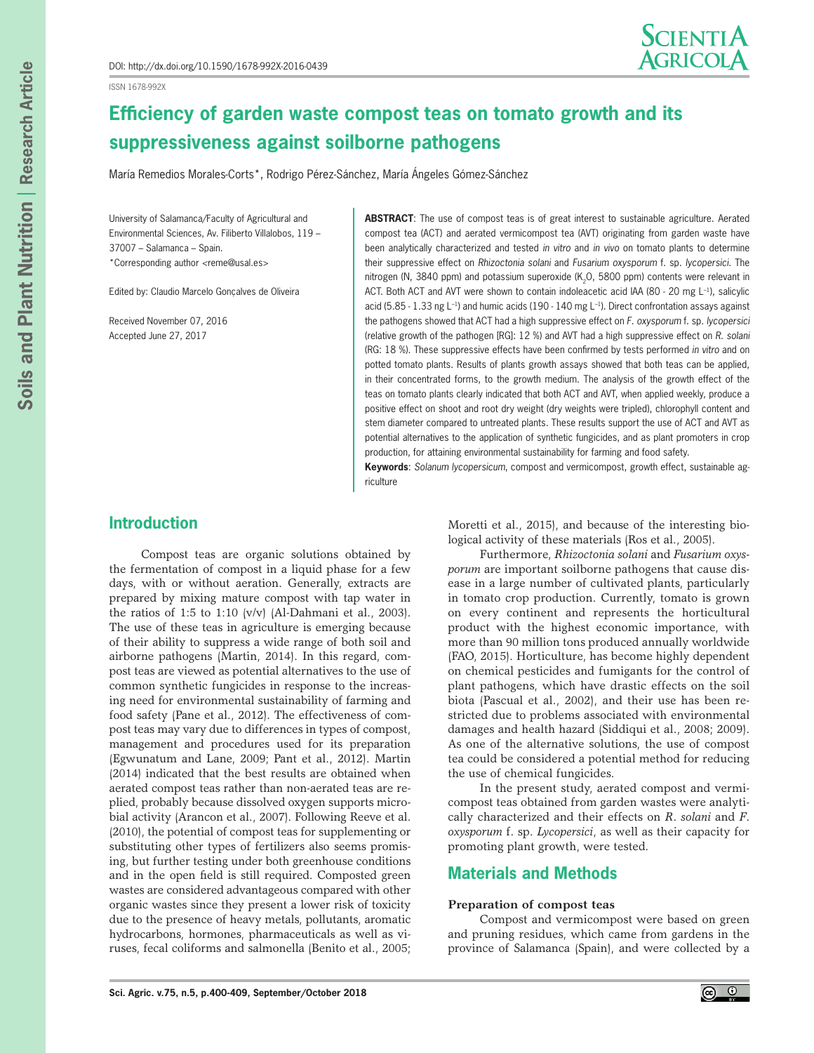ISSN 1678-992X



# **Efficiency of garden waste compost teas on tomato growth and its suppressiveness against soilborne pathogens**

María Remedios Morales-Corts\*, Rodrigo Pérez-Sánchez, María Ángeles Gómez-Sánchez

University of Salamanca/Faculty of Agricultural and Environmental Sciences, Av. Filiberto Villalobos, 119 – 37007 – Salamanca – Spain. \*Corresponding author *<*reme@usal.es>

Edited by: Claudio Marcelo Gonçalves de Oliveira

Received November 07, 2016 Accepted June 27, 2017

**ABSTRACT**: The use of compost teas is of great interest to sustainable agriculture. Aerated compost tea (ACT) and aerated vermicompost tea (AVT) originating from garden waste have been analytically characterized and tested *in vitro* and *in vivo* on tomato plants to determine their suppressive effect on *Rhizoctonia solani* and *Fusarium oxysporum* f. sp. *lycopersici*. The nitrogen (N, 3840 ppm) and potassium superoxide (K<sub>2</sub>O, 5800 ppm) contents were relevant in ACT. Both ACT and AVT were shown to contain indoleacetic acid IAA (80 - 20 mg L<sup>-1</sup>), salicylic acid (5.85 - 1.33 ng  $L^{-1}$ ) and humic acids (190 - 140 mg  $L^{-1}$ ). Direct confrontation assays against the pathogens showed that ACT had a high suppressive effect on *F*. *oxysporum* f. sp. *lycopersici* (relative growth of the pathogen [RG]: 12 %) and AVT had a high suppressive effect on *R*. *solani* (RG: 18 %). These suppressive effects have been confirmed by tests performed *in vitro* and on potted tomato plants. Results of plants growth assays showed that both teas can be applied, in their concentrated forms, to the growth medium. The analysis of the growth effect of the teas on tomato plants clearly indicated that both ACT and AVT, when applied weekly, produce a positive effect on shoot and root dry weight (dry weights were tripled), chlorophyll content and stem diameter compared to untreated plants. These results support the use of ACT and AVT as potential alternatives to the application of synthetic fungicides, and as plant promoters in crop production, for attaining environmental sustainability for farming and food safety.

**Keywords**: *Solanum lycopersicum*, compost and vermicompost, growth effect, sustainable agriculture

# **Introduction**

Compost teas are organic solutions obtained by the fermentation of compost in a liquid phase for a few days, with or without aeration. Generally, extracts are prepared by mixing mature compost with tap water in the ratios of 1:5 to 1:10 (v/v) (Al-Dahmani et al., 2003). The use of these teas in agriculture is emerging because of their ability to suppress a wide range of both soil and airborne pathogens (Martin, 2014). In this regard, compost teas are viewed as potential alternatives to the use of common synthetic fungicides in response to the increasing need for environmental sustainability of farming and food safety (Pane et al., 2012). The effectiveness of compost teas may vary due to differences in types of compost, management and procedures used for its preparation (Egwunatum and Lane, 2009; Pant et al., 2012). Martin (2014) indicated that the best results are obtained when aerated compost teas rather than non-aerated teas are replied, probably because dissolved oxygen supports microbial activity (Arancon et al., 2007). Following Reeve et al. (2010), the potential of compost teas for supplementing or substituting other types of fertilizers also seems promising, but further testing under both greenhouse conditions and in the open field is still required. Composted green wastes are considered advantageous compared with other organic wastes since they present a lower risk of toxicity due to the presence of heavy metals, pollutants, aromatic hydrocarbons, hormones, pharmaceuticals as well as viruses, fecal coliforms and salmonella (Benito et al., 2005; Moretti et al., 2015), and because of the interesting biological activity of these materials (Ros et al., 2005).

Furthermore, *Rhizoctonia solani* and *Fusarium oxysporum* are important soilborne pathogens that cause disease in a large number of cultivated plants, particularly in tomato crop production. Currently, tomato is grown on every continent and represents the horticultural product with the highest economic importance, with more than 90 million tons produced annually worldwide (FAO, 2015). Horticulture, has become highly dependent on chemical pesticides and fumigants for the control of plant pathogens, which have drastic effects on the soil biota (Pascual et al., 2002), and their use has been restricted due to problems associated with environmental damages and health hazard (Siddiqui et al., 2008; 2009). As one of the alternative solutions, the use of compost tea could be considered a potential method for reducing the use of chemical fungicides.

In the present study, aerated compost and vermicompost teas obtained from garden wastes were analytically characterized and their effects on *R*. *solani* and *F*. *oxysporum* f. sp. *Lycopersici*, as well as their capacity for promoting plant growth, were tested.

# **Materials and Methods**

## **Preparation of compost teas**

Compost and vermicompost were based on green and pruning residues, which came from gardens in the province of Salamanca (Spain), and were collected by a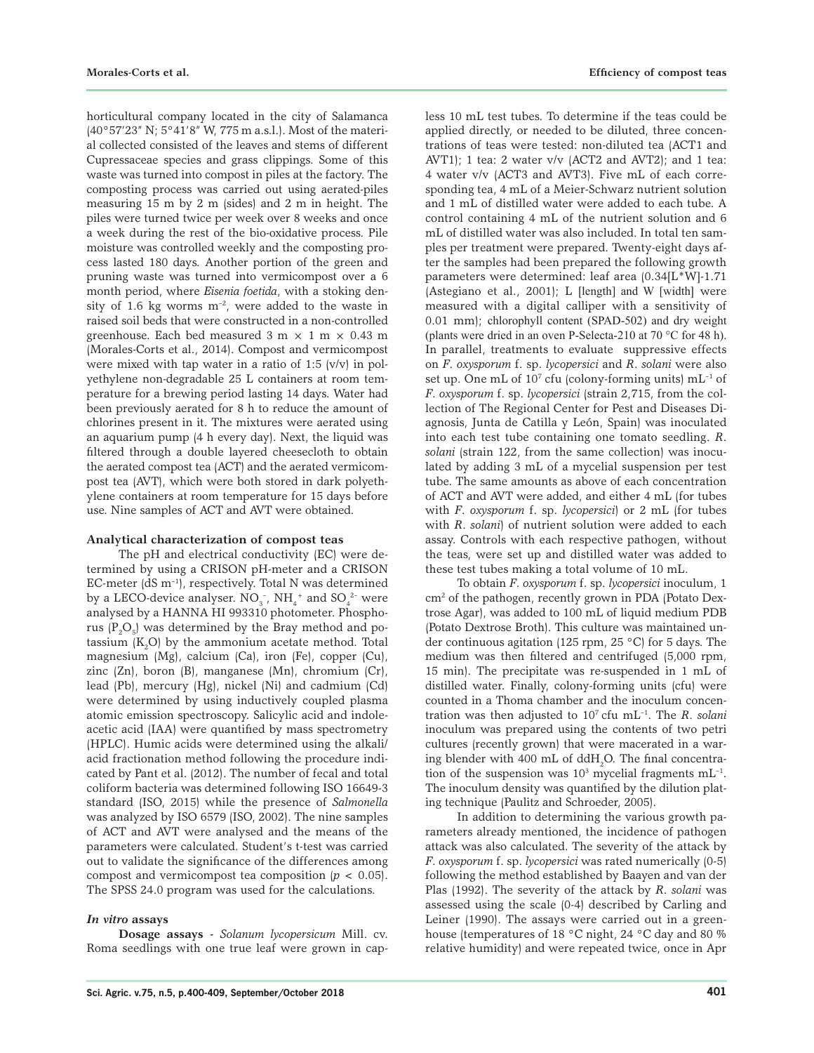horticultural company located in the city of Salamanca (40°57'23" N; 5°41'8" W, 775 m a.s.l.). Most of the material collected consisted of the leaves and stems of different Cupressaceae species and grass clippings. Some of this waste was turned into compost in piles at the factory. The composting process was carried out using aerated-piles measuring 15 m by 2 m (sides) and 2 m in height. The piles were turned twice per week over 8 weeks and once a week during the rest of the bio-oxidative process. Pile moisture was controlled weekly and the composting process lasted 180 days. Another portion of the green and pruning waste was turned into vermicompost over a 6 month period, where *Eisenia foetida*, with a stoking density of 1.6 kg worms  $m<sup>-2</sup>$ , were added to the waste in raised soil beds that were constructed in a non-controlled greenhouse. Each bed measured  $3 \text{ m} \times 1 \text{ m} \times 0.43 \text{ m}$ (Morales-Corts et al., 2014). Compost and vermicompost were mixed with tap water in a ratio of 1:5 (v/v) in polyethylene non-degradable 25 L containers at room temperature for a brewing period lasting 14 days. Water had been previously aerated for 8 h to reduce the amount of chlorines present in it. The mixtures were aerated using an aquarium pump (4 h every day). Next, the liquid was filtered through a double layered cheesecloth to obtain the aerated compost tea (ACT) and the aerated vermicompost tea (AVT), which were both stored in dark polyethylene containers at room temperature for 15 days before use. Nine samples of ACT and AVT were obtained.

## **Analytical characterization of compost teas**

The pH and electrical conductivity (EC) were determined by using a CRISON pH-meter and a CRISON EC-meter  $(dS m^{-1})$ , respectively. Total N was determined by a LECO-device analyser.  $NO<sub>3</sub>$ ,  $NH<sub>4</sub>$ <sup>+</sup> and  $SO<sub>4</sub>^{2-}$  were analysed by a HANNA HI 993310 photometer. Phosphorus  $\rm (P_2O_5)$  was determined by the Bray method and potassium  $(K_2O)$  by the ammonium acetate method. Total magnesium (Mg), calcium (Ca), iron (Fe), copper (Cu), zinc (Zn), boron (B), manganese (Mn), chromium (Cr), lead (Pb), mercury (Hg), nickel (Ni) and cadmium (Cd) were determined by using inductively coupled plasma atomic emission spectroscopy. Salicylic acid and indoleacetic acid (IAA) were quantified by mass spectrometry (HPLC). Humic acids were determined using the alkali/ acid fractionation method following the procedure indicated by Pant et al. (2012). The number of fecal and total coliform bacteria was determined following ISO 16649-3 standard (ISO, 2015) while the presence of *Salmonella* was analyzed by ISO 6579 (ISO, 2002). The nine samples of ACT and AVT were analysed and the means of the parameters were calculated. Student's t-test was carried out to validate the significance of the differences among compost and vermicompost tea composition  $(p < 0.05)$ . The SPSS 24.0 program was used for the calculations.

## *In vitro* **assays**

**Dosage assays -** *Solanum lycopersicum* Mill. cv. Roma seedlings with one true leaf were grown in capless 10 mL test tubes. To determine if the teas could be applied directly, or needed to be diluted, three concentrations of teas were tested: non-diluted tea (ACT1 and AVT1); 1 tea: 2 water v/v (ACT2 and AVT2); and 1 tea: 4 water v/v (ACT3 and AVT3). Five mL of each corresponding tea, 4 mL of a Meier-Schwarz nutrient solution and 1 mL of distilled water were added to each tube. A control containing 4 mL of the nutrient solution and 6 mL of distilled water was also included. In total ten samples per treatment were prepared. Twenty-eight days after the samples had been prepared the following growth parameters were determined: leaf area (0.34[L\*W]-1.71 (Astegiano et al., 2001); L [length] and W [width] were measured with a digital calliper with a sensitivity of 0.01 mm); chlorophyll content (SPAD-502) and dry weight (plants were dried in an oven P-Selecta-210 at 70 °C for 48 h). In parallel, treatments to evaluate suppressive effects on *F*. *oxysporum* f. sp. *lycopersici* and *R*. *solani* were also set up. One mL of  $10<sup>7</sup>$  cfu (colony-forming units) mL<sup>-1</sup> of *F*. *oxysporum* f. sp. *lycopersici* (strain 2,715, from the collection of The Regional Center for Pest and Diseases Diagnosis, Junta de Catilla y León, Spain) was inoculated into each test tube containing one tomato seedling. *R*. *solani* (strain 122, from the same collection) was inoculated by adding 3 mL of a mycelial suspension per test tube. The same amounts as above of each concentration of ACT and AVT were added, and either 4 mL (for tubes with *F*. *oxysporum* f. sp. *lycopersici*) or 2 mL (for tubes with *R*. *solani*) of nutrient solution were added to each assay. Controls with each respective pathogen, without the teas, were set up and distilled water was added to these test tubes making a total volume of 10 mL.

To obtain *F*. *oxysporum* f. sp. *lycopersici* inoculum, 1 cm2 of the pathogen, recently grown in PDA (Potato Dextrose Agar), was added to 100 mL of liquid medium PDB (Potato Dextrose Broth). This culture was maintained under continuous agitation (125 rpm, 25 °C) for 5 days. The medium was then filtered and centrifuged (5,000 rpm, 15 min). The precipitate was re-suspended in 1 mL of distilled water. Finally, colony-forming units (cfu) were counted in a Thoma chamber and the inoculum concentration was then adjusted to 107 cfu mL–1. The *R*. *solani* inoculum was prepared using the contents of two petri cultures (recently grown) that were macerated in a waring blender with 400 mL of  $ddH_2O$ . The final concentration of the suspension was  $10^3$  mycelial fragments mL<sup>-1</sup>. The inoculum density was quantified by the dilution plating technique (Paulitz and Schroeder, 2005).

In addition to determining the various growth parameters already mentioned, the incidence of pathogen attack was also calculated. The severity of the attack by *F*. *oxysporum* f. sp. *lycopersici* was rated numerically (0-5) following the method established by Baayen and van der Plas (1992). The severity of the attack by *R*. *solani* was assessed using the scale (0-4) described by Carling and Leiner (1990). The assays were carried out in a greenhouse (temperatures of 18 °C night, 24 °C day and 80 % relative humidity) and were repeated twice, once in Apr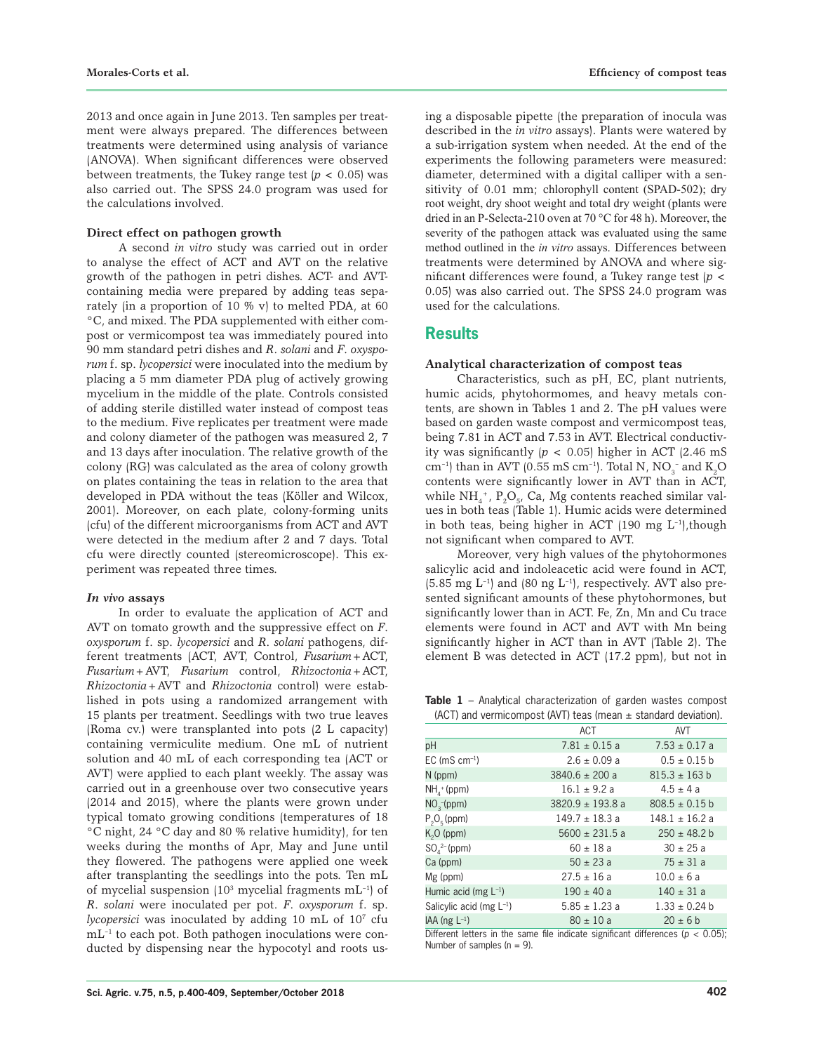2013 and once again in June 2013. Ten samples per treatment were always prepared. The differences between treatments were determined using analysis of variance (ANOVA). When significant differences were observed between treatments, the Tukey range test  $(p < 0.05)$  was also carried out. The SPSS 24.0 program was used for the calculations involved.

## **Direct effect on pathogen growth**

A second *in vitro* study was carried out in order to analyse the effect of ACT and AVT on the relative growth of the pathogen in petri dishes. ACT- and AVTcontaining media were prepared by adding teas separately (in a proportion of 10 % v) to melted PDA, at 60 °C, and mixed. The PDA supplemented with either compost or vermicompost tea was immediately poured into 90 mm standard petri dishes and *R*. *solani* and *F*. *oxysporum* f. sp. *lycopersici* were inoculated into the medium by placing a 5 mm diameter PDA plug of actively growing mycelium in the middle of the plate. Controls consisted of adding sterile distilled water instead of compost teas to the medium. Five replicates per treatment were made and colony diameter of the pathogen was measured 2, 7 and 13 days after inoculation. The relative growth of the colony (RG) was calculated as the area of colony growth on plates containing the teas in relation to the area that developed in PDA without the teas (Köller and Wilcox, 2001). Moreover, on each plate, colony-forming units (cfu) of the different microorganisms from ACT and AVT were detected in the medium after 2 and 7 days. Total cfu were directly counted (stereomicroscope). This experiment was repeated three times.

## *In vivo* **assays**

In order to evaluate the application of ACT and AVT on tomato growth and the suppressive effect on *F*. *oxysporum* f. sp. *lycopersici* and *R*. *solani* pathogens, different treatments (ACT, AVT, Control, *Fusarium*+ACT, *Fusarium*+AVT, *Fusarium* control, *Rhizoctonia*+ACT, *Rhizoctonia*+AVT and *Rhizoctonia* control) were established in pots using a randomized arrangement with 15 plants per treatment. Seedlings with two true leaves (Roma cv.) were transplanted into pots (2 L capacity) containing vermiculite medium. One mL of nutrient solution and 40 mL of each corresponding tea (ACT or AVT) were applied to each plant weekly. The assay was carried out in a greenhouse over two consecutive years (2014 and 2015), where the plants were grown under typical tomato growing conditions (temperatures of 18 °C night, 24 °C day and 80 % relative humidity), for ten weeks during the months of Apr, May and June until they flowered. The pathogens were applied one week after transplanting the seedlings into the pots. Ten mL of mycelial suspension  $(10^3 \text{ mycelial fragments } mL^{-1})$  of *R*. *solani* were inoculated per pot. *F*. *oxysporum* f. sp. lycopersici was inoculated by adding 10 mL of 10<sup>7</sup> cfu  $mL^{-1}$  to each pot. Both pathogen inoculations were conducted by dispensing near the hypocotyl and roots us-

ing a disposable pipette (the preparation of inocula was described in the *in vitro* assays). Plants were watered by a sub-irrigation system when needed. At the end of the experiments the following parameters were measured: diameter, determined with a digital calliper with a sensitivity of 0.01 mm; chlorophyll content (SPAD-502); dry root weight, dry shoot weight and total dry weight (plants were dried in an P-Selecta-210 oven at 70 °C for 48 h). Moreover, the severity of the pathogen attack was evaluated using the same method outlined in the *in vitro* assays. Differences between treatments were determined by ANOVA and where significant differences were found, a Tukey range test (*p* < 0.05) was also carried out. The SPSS 24.0 program was used for the calculations.

## **Results**

#### **Analytical characterization of compost teas**

Characteristics, such as pH, EC, plant nutrients, humic acids, phytohormomes, and heavy metals contents, are shown in Tables 1 and 2. The pH values were based on garden waste compost and vermicompost teas, being 7.81 in ACT and 7.53 in AVT. Electrical conductivity was significantly  $(p < 0.05)$  higher in ACT (2.46 mS) cm<sup>-1</sup>) than in AVT (0.55 mS cm<sup>-1</sup>). Total N, NO<sub>3</sub><sup>-</sup> and K<sub>2</sub>O contents were significantly lower in AVT than in ACT, while  $\mathrm{NH}_4^*$ ,  $\mathrm{P}_2\mathrm{O}_{5'}$  Ca, Mg contents reached similar values in both teas (Table 1). Humic acids were determined in both teas, being higher in ACT (190 mg  $L^{-1}$ ), though not significant when compared to AVT.

Moreover, very high values of the phytohormones salicylic acid and indoleacetic acid were found in ACT, (5.85 mg  $L^{-1}$ ) and (80 ng  $L^{-1}$ ), respectively. AVT also presented significant amounts of these phytohormones, but significantly lower than in ACT. Fe, Zn, Mn and Cu trace elements were found in ACT and AVT with Mn being significantly higher in ACT than in AVT (Table 2). The element B was detected in ACT (17.2 ppm), but not in

**Table 1** – Analytical characterization of garden wastes compost (ACT) and vermicompost (AVT) teas (mean ± standard deviation).

|                               | <b>ACT</b>           | AVT                |
|-------------------------------|----------------------|--------------------|
| рH                            | $7.81 \pm 0.15$ a    | $7.53 \pm 0.17$ a  |
| $EC$ (mS $cm^{-1}$ )          | $2.6 \pm 0.09$ a     | $0.5 \pm 0.15$ b   |
| N (ppm)                       | $3840.6 \pm 200$ a   | $815.3 \pm 163 b$  |
| $NH4+ (ppm)$                  | $16.1 \pm 9.2 a$     | $4.5 \pm 4 a$      |
| $NO_{\rm q}$ -(ppm)           | $3820.9 \pm 193.8$ a | $808.5 \pm 0.15$ b |
| $P_2O_5$ (ppm)                | $149.7 \pm 18.3$ a   | $148.1 \pm 16.2$ a |
| $K2O$ (ppm)                   | $5600 \pm 231.5$ a   | $250 \pm 48.2$ b   |
| $SO_4^{2-}$ (ppm)             | $60 \pm 18$ a        | $30 \pm 25 a$      |
| Ca (ppm)                      | $50 \pm 23 a$        | $75 \pm 31$ a      |
| Mg (ppm)                      | $27.5 \pm 16$ a      | $10.0 \pm 6a$      |
| Humic acid (mg $L^{-1}$ )     | $190 \pm 40$ a       | $140 \pm 31$ a     |
| Salicylic acid (mg $L^{-1}$ ) | $5.85 \pm 1.23$ a    | $1.33 \pm 0.24$ b  |
| IAA (ng $L^{-1}$ )            | $80 \pm 10 a$        | $20 \pm 6$ b       |

Different letters in the same file indicate significant differences ( $p < 0.05$ ); Number of samples  $(n = 9)$ .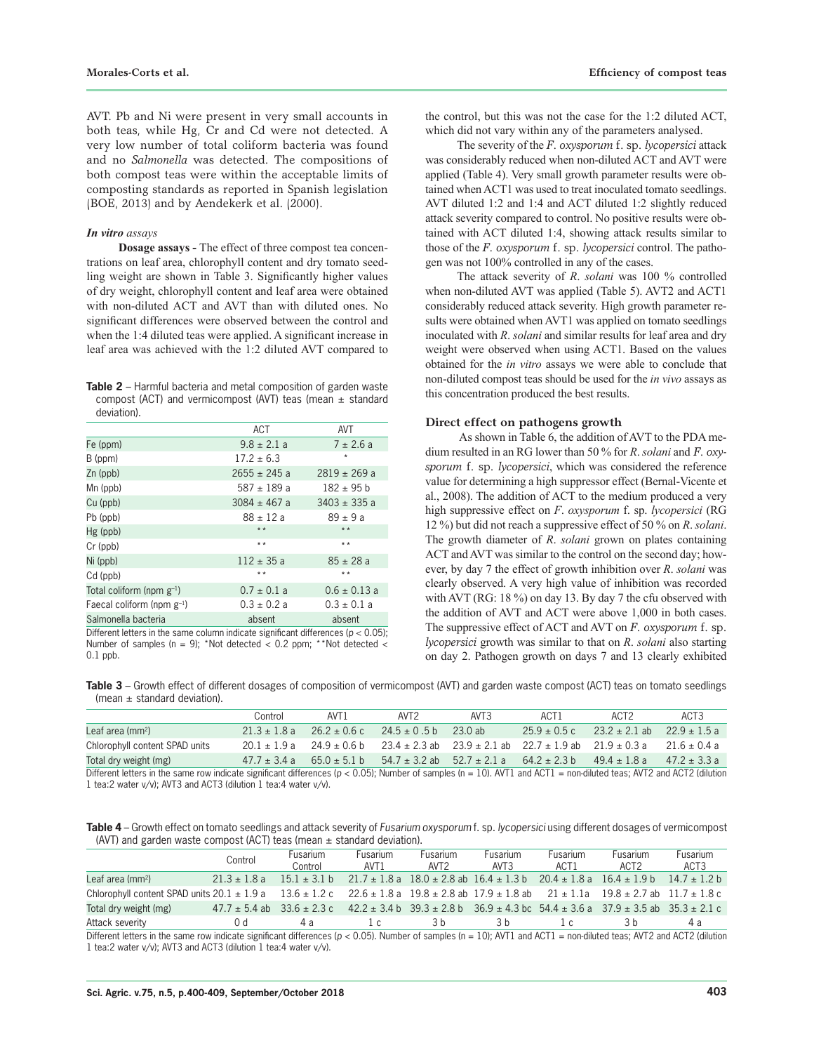AVT. Pb and Ni were present in very small accounts in both teas, while Hg, Cr and Cd were not detected. A very low number of total coliform bacteria was found and no *Salmonella* was detected. The compositions of both compost teas were within the acceptable limits of composting standards as reported in Spanish legislation (BOE, 2013) and by Aendekerk et al. (2000).

#### *In vitro assays*

**Dosage assays -** The effect of three compost tea concentrations on leaf area, chlorophyll content and dry tomato seedling weight are shown in Table 3. Significantly higher values of dry weight, chlorophyll content and leaf area were obtained with non-diluted ACT and AVT than with diluted ones. No significant differences were observed between the control and when the 1:4 diluted teas were applied. A significant increase in leaf area was achieved with the 1:2 diluted AVT compared to

**Table 2** – Harmful bacteria and metal composition of garden waste compost (ACT) and vermicompost (AVT) teas (mean  $\pm$  standard deviation).

| ACT              | AVT              |
|------------------|------------------|
| $9.8 \pm 2.1$ a  | $7 \pm 2.6 a$    |
| $17.2 \pm 6.3$   | $\star$          |
| $2655 \pm 245$ a | $2819 \pm 269$ a |
| $587 \pm 189$ a  | $182 \pm 95$ b   |
| $3084 \pm 467$ a | $3403 \pm 335$ a |
| $88 \pm 12 a$    | $89 \pm 9a$      |
| $* *$            | $* *$            |
| $* *$            | $* *$            |
| $112 \pm 35a$    | $85 \pm 28$ a    |
| $* *$            | $* *$            |
| $0.7 \pm 0.1$ a  | $0.6 \pm 0.13$ a |
| $0.3 \pm 0.2 a$  | $0.3 \pm 0.1 a$  |
| absent           | absent           |
|                  |                  |

Different letters in the same column indicate significant differences (*p* < 0.05); Number of samples (n = 9); \*Not detected < 0.2 ppm; \*\*Not detected < 0.1 ppb.

the control, but this was not the case for the 1:2 diluted ACT, which did not vary within any of the parameters analysed.

The severity of the *F*. *oxysporum* f. sp. *lycopersici* attack was considerably reduced when non-diluted ACT and AVT were applied (Table 4). Very small growth parameter results were obtained when ACT1 was used to treat inoculated tomato seedlings. AVT diluted 1:2 and 1:4 and ACT diluted 1:2 slightly reduced attack severity compared to control. No positive results were obtained with ACT diluted 1:4, showing attack results similar to those of the *F*. *oxysporum* f. sp. *lycopersici* control. The pathogen was not 100% controlled in any of the cases.

The attack severity of *R*. *solani* was 100 % controlled when non-diluted AVT was applied (Table 5). AVT2 and ACT1 considerably reduced attack severity. High growth parameter results were obtained when AVT1 was applied on tomato seedlings inoculated with *R*. *solani* and similar results for leaf area and dry weight were observed when using ACT1. Based on the values obtained for the *in vitro* assays we were able to conclude that non-diluted compost teas should be used for the *in vivo* assays as this concentration produced the best results.

### **Direct effect on pathogens growth**

 As shown in Table 6, the addition of AVT to the PDA medium resulted in an RG lower than 50 % for *R*. *solani* and *F*. *oxysporum* f. sp. *lycopersici*, which was considered the reference value for determining a high suppressor effect (Bernal-Vicente et al., 2008). The addition of ACT to the medium produced a very high suppressive effect on *F*. *oxysporum* f. sp. *lycopersici* (RG 12 %) but did not reach a suppressive effect of 50 % on *R*. *solani*. The growth diameter of *R*. *solani* grown on plates containing ACT and AVT was similar to the control on the second day; however, by day 7 the effect of growth inhibition over *R*. *solani* was clearly observed. A very high value of inhibition was recorded with AVT (RG: 18 %) on day 13. By day 7 the cfu observed with the addition of AVT and ACT were above 1,000 in both cases. The suppressive effect of ACT and AVT on *F*. *oxysporum* f. sp. *lycopersici* growth was similar to that on *R*. *solani* also starting on day 2. Pathogen growth on days 7 and 13 clearly exhibited

**Table 3** – Growth effect of different dosages of composition of vermicompost (AVT) and garden waste compost (ACT) teas on tomato seedlings (mean  $\pm$  standard deviation).

|                                | Control          | AVT <sub>1</sub>                  | AVT <sub>2</sub>                                                       | AVT3                                                                 | ACT <sub>1</sub> | ACT <sub>2</sub>  | ACT <sub>3</sub> |
|--------------------------------|------------------|-----------------------------------|------------------------------------------------------------------------|----------------------------------------------------------------------|------------------|-------------------|------------------|
| Leaf area (mm <sup>2</sup> )   | $21.3 \pm 1.8$ a | $26.2 \pm 0.6$ c                  | $24.5 \pm 0.5$ b                                                       | 23.0 ab                                                              | $25.9 \pm 0.5$ c | $23.2 \pm 2.1$ ab | $22.9 + 1.5a$    |
| Chlorophyll content SPAD units |                  | $20.1 \pm 1.9$ a $24.9 \pm 0.6$ b | $23.4 \pm 2.3$ ab $23.9 \pm 2.1$ ab $22.7 \pm 1.9$ ab $21.9 \pm 0.3$ a |                                                                      |                  |                   | $21.6 + 0.4a$    |
| Total dry weight (mg)          | $47.7 \pm 3.4$ a | $65.0 \pm 5.1$ b                  |                                                                        | $54.7 \pm 3.2$ ab $52.7 \pm 2.1$ a $64.2 \pm 2.3$ b $49.4 \pm 1.8$ a |                  |                   | $47.2 + 3.3a$    |
|                                |                  |                                   |                                                                        |                                                                      |                  |                   |                  |

Different letters in the same row indicate significant differences ( $p < 0.05$ ); Number of samples (n = 10). AVT1 and ACT1 = non-diluted teas; AVT2 and ACT2 (dilution 1 tea:2 water v/v); AVT3 and ACT3 (dilution 1 tea:4 water v/v).

**Table 4** – Growth effect on tomato seedlings and attack severity of *Fusarium oxysporum* f. sp. *lycopersici* using different dosages of vermicompost (AVT) and garden waste compost (ACT) teas (mean  $\pm$  standard deviation).

|                                                                                                                                         | Control | <b>Fusarium</b><br>Control         | <b>Fusarium</b><br>AVT <sub>1</sub> | <b>Fusarium</b><br>AVT <sub>2</sub> | <b>Fusarium</b><br>AVT3 | Fusarium<br>ACT1 | <b>Fusarium</b><br>ACT <sub>2</sub>                                                                                                      | <b>Fusarium</b><br>ACT3 |
|-----------------------------------------------------------------------------------------------------------------------------------------|---------|------------------------------------|-------------------------------------|-------------------------------------|-------------------------|------------------|------------------------------------------------------------------------------------------------------------------------------------------|-------------------------|
| Leaf area (mm <sup>2</sup> )                                                                                                            |         |                                    |                                     |                                     |                         |                  | $21.3 \pm 1.8$ a $15.1 \pm 3.1$ b $21.7 \pm 1.8$ a $18.0 \pm 2.8$ ab $16.4 \pm 1.3$ b $20.4 \pm 1.8$ a $16.4 \pm 1.9$ b $14.7 \pm 1.2$ b |                         |
| Chlorophyll content SPAD units 20.1 ± 1.9 a 13.6 ± 1.2 c 22.6 ± 1.8 a 19.8 ± 2.8 ab 17.9 ± 1.8 ab 21 ± 1.1 a 19.8 ± 2.7 ab 11.7 ± 1.8 c |         |                                    |                                     |                                     |                         |                  |                                                                                                                                          |                         |
| Total dry weight (mg)                                                                                                                   |         | $47.7 \pm 5.4$ ab $33.6 \pm 2.3$ c |                                     |                                     |                         |                  | $42.2 \pm 3.4$ b $39.3 \pm 2.8$ b $36.9 \pm 4.3$ bc $54.4 \pm 3.6$ a $37.9 \pm 3.5$ ab $35.3 \pm 2.1$ c                                  |                         |
| Attack severity                                                                                                                         | () d    | 4а                                 | $\lfloor c \rfloor$                 | 3 h                                 | 3 h                     | $\sqrt{2}$       | 3 h                                                                                                                                      | 4а                      |

Different letters in the same row indicate significant differences ( $p < 0.05$ ). Number of samples (n = 10); AVT1 and ACT1 = non-diluted teas; AVT2 and ACT2 (dilution 1 tea:2 water v/v); AVT3 and ACT3 (dilution 1 tea:4 water v/v).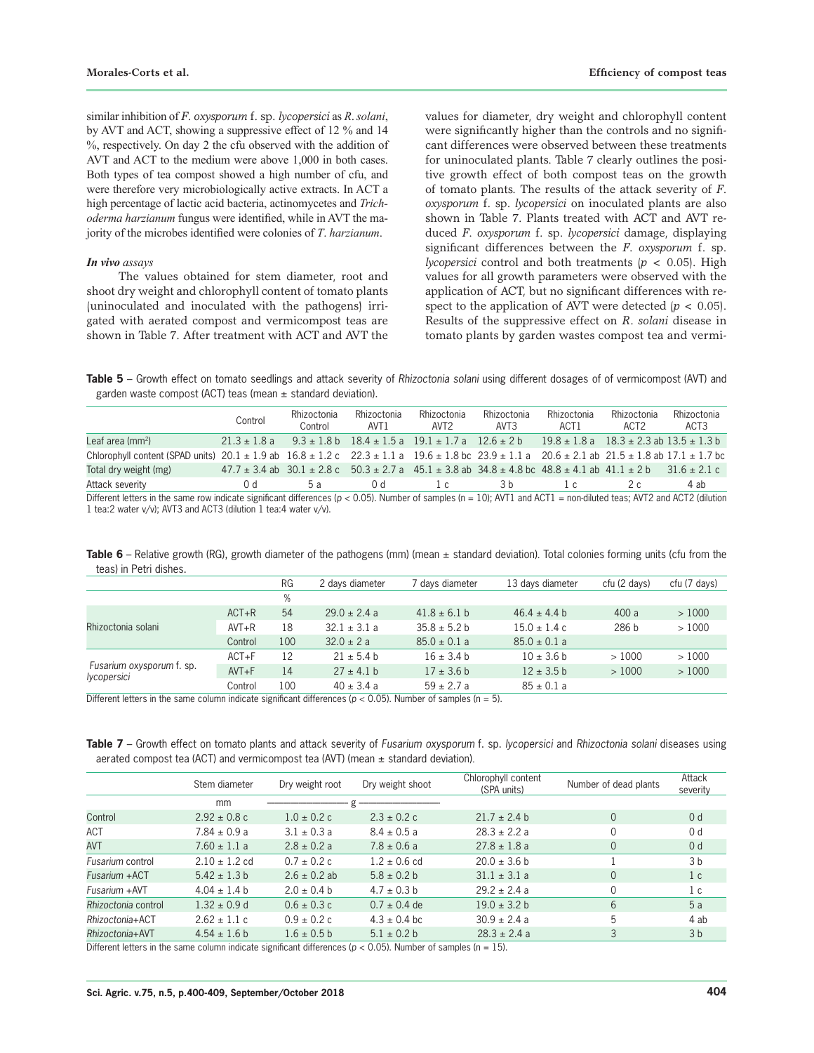similar inhibition of *F*. *oxysporum* f. sp. *lycopersici* as *R*. *solani*, by AVT and ACT, showing a suppressive effect of 12 % and 14 %, respectively. On day 2 the cfu observed with the addition of AVT and ACT to the medium were above 1,000 in both cases. Both types of tea compost showed a high number of cfu, and were therefore very microbiologically active extracts. In ACT a high percentage of lactic acid bacteria, actinomycetes and *Trichoderma harzianum* fungus were identified, while in AVT the majority of the microbes identified were colonies of *T*. *harzianum*.

### *In vivo assays*

The values obtained for stem diameter, root and shoot dry weight and chlorophyll content of tomato plants (uninoculated and inoculated with the pathogens) irrigated with aerated compost and vermicompost teas are shown in Table 7. After treatment with ACT and AVT the

values for diameter, dry weight and chlorophyll content were significantly higher than the controls and no significant differences were observed between these treatments for uninoculated plants. Table 7 clearly outlines the positive growth effect of both compost teas on the growth of tomato plants. The results of the attack severity of *F*. *oxysporum* f. sp. *lycopersici* on inoculated plants are also shown in Table 7. Plants treated with ACT and AVT reduced *F*. *oxysporum* f. sp. *lycopersici* damage, displaying significant differences between the *F*. *oxysporum* f. sp. *lycopersici* control and both treatments (*p* < 0.05). High values for all growth parameters were observed with the application of ACT, but no significant differences with respect to the application of AVT were detected  $(p < 0.05)$ . Results of the suppressive effect on *R*. *solani* disease in tomato plants by garden wastes compost tea and vermi-

**Table 5** – Growth effect on tomato seedlings and attack severity of *Rhizoctonia solani* using different dosages of of vermicompost (AVT) and garden waste compost (ACT) teas (mean  $\pm$  standard deviation).

|                                                                                                                                                                               | Control          | Rhizoctonia<br>Control | Rhizoctonia<br>AVT1                                                                                                                       | Rhizoctonia<br>AVT2 | Rhizoctonia<br>AVT3 | Rhizoctonia<br>ACT1 | Rhizoctonia<br>ACT2 | Rhizoctonia<br>ACT <sub>3</sub> |
|-------------------------------------------------------------------------------------------------------------------------------------------------------------------------------|------------------|------------------------|-------------------------------------------------------------------------------------------------------------------------------------------|---------------------|---------------------|---------------------|---------------------|---------------------------------|
| Leaf area (mm <sup>2</sup> )                                                                                                                                                  | $21.3 \pm 1.8$ a |                        | $9.3 \pm 1.8$ b $18.4 \pm 1.5$ a $19.1 \pm 1.7$ a $12.6 \pm 2$ b $19.8 \pm 1.8$ a $18.3 \pm 2.3$ ab $13.5 \pm 1.3$ b                      |                     |                     |                     |                     |                                 |
| Chlorophyll content (SPAD units) $20.1 \pm 1.9$ ab $16.8 \pm 1.2$ c $22.3 \pm 1.1$ a $19.6 \pm 1.8$ bc $23.9 \pm 1.1$ a $20.6 \pm 2.1$ ab $21.5 \pm 1.8$ ab $17.1 \pm 1.7$ bc |                  |                        |                                                                                                                                           |                     |                     |                     |                     |                                 |
| Total dry weight (mg)                                                                                                                                                         |                  |                        | $47.7 \pm 3.4$ ab $30.1 \pm 2.8$ c $50.3 \pm 2.7$ a $45.1 \pm 3.8$ ab $34.8 \pm 4.8$ bc $48.8 \pm 4.1$ ab $41.1 \pm 2$ b $31.6 \pm 2.1$ c |                     |                     |                     |                     |                                 |
| Attack severity                                                                                                                                                               | 0 d              | 5a                     | 0 d                                                                                                                                       | $\lfloor c \rfloor$ | 3 h                 |                     | 2 c.                | 4 ab                            |
| Different letters in the same row indicate significant differences ( $p < 0.05$ ). Number of samples ( $n = 10$ ); AVT1 and ACT1 = non-diluted teas; AVT2 and ACT2 (dilution  |                  |                        |                                                                                                                                           |                     |                     |                     |                     |                                 |

1 tea:2 water v/v); AVT3 and ACT3 (dilution 1 tea:4 water v/v).

**Table 6** – Relative growth (RG), growth diameter of the pathogens (mm) (mean ± standard deviation). Total colonies forming units (cfu from the teas) in Petri dishes.

|                                          |           | <b>RG</b> | 2 days diameter  | 7 days diameter  | 13 days diameter | cfu (2 days)     | cfu (7 days) |
|------------------------------------------|-----------|-----------|------------------|------------------|------------------|------------------|--------------|
|                                          |           | %         |                  |                  |                  |                  |              |
| Rhizoctonia solani                       | $ACT + R$ | 54        | $29.0 \pm 2.4 a$ | $41.8 \pm 6.1$ b | $46.4 \pm 4.4$ b | 400a             | >1000        |
|                                          | $AVT + R$ | 18        | $32.1 \pm 3.1$ a | $35.8 \pm 5.2$ b | $15.0 \pm 1.4 c$ | 286 <sub>b</sub> | >1000        |
|                                          | Control   | 100       | $32.0 \pm 2 a$   | $85.0 \pm 0.1 a$ | $85.0 \pm 0.1 a$ |                  |              |
| Fusarium oxysporum f. sp.<br>lycopersici | $ACT + F$ | 12        | $21 \pm 5.4$ b   | $16 \pm 3.4$ b   | $10 \pm 3.6$ b   | >1000            | >1000        |
|                                          | $AVT + F$ | 14        | $27 \pm 4.1$ b   | $17 \pm 3.6$ b   | $12 \pm 3.5$ b   | >1000            | >1000        |
|                                          | Control   | 100       | $40 \pm 3.4 a$   | $59 \pm 2.7$ a   | $85 \pm 0.1 a$   |                  |              |

Different letters in the same column indicate significant differences ( $p < 0.05$ ). Number of samples ( $n = 5$ ).

**Table 7** – Growth effect on tomato plants and attack severity of *Fusarium oxysporum* f. sp. *lycopersici* and *Rhizoctonia solani* diseases using aerated compost tea (ACT) and vermicompost tea (AVT) (mean  $\pm$  standard deviation).

|                     | Stem diameter     | Dry weight root  | Dry weight shoot | Chlorophyll content<br>(SPA units) | Number of dead plants | Attack<br>severity |
|---------------------|-------------------|------------------|------------------|------------------------------------|-----------------------|--------------------|
|                     | mm                |                  |                  |                                    |                       |                    |
| Control             | $2.92 \pm 0.8$ c  | $1.0 \pm 0.2$ c  | $2.3 \pm 0.2$ c  | $21.7 \pm 2.4$ b                   | $\Omega$              | 0 <sub>d</sub>     |
| ACT                 | $7.84 \pm 0.9 a$  | $3.1 \pm 0.3 a$  | $8.4 \pm 0.5 a$  | $28.3 \pm 2.2 a$                   | 0                     | 0 d                |
| <b>AVT</b>          | $7.60 \pm 1.1 a$  | $2.8 \pm 0.2 a$  | $7.8 \pm 0.6 a$  | $27.8 \pm 1.8$ a                   | 0                     | 0 <sub>d</sub>     |
| Fusarium control    | $2.10 \pm 1.2$ cd | $0.7 \pm 0.2$ c  | $1.2 \pm 0.6$ cd | $20.0 \pm 3.6$ b                   |                       | 3b                 |
| Fusarium +ACT       | $5.42 \pm 1.3 b$  | $2.6 \pm 0.2$ ab | $5.8 \pm 0.2 b$  | $31.1 \pm 3.1 a$                   | 0                     | 1 <sup>c</sup>     |
| Fusarium + AVT      | $4.04 \pm 1.4$ b  | $2.0 \pm 0.4 b$  | $4.7 \pm 0.3$ b  | $29.2 \pm 2.4$ a                   | 0                     | 1 c                |
| Rhizoctonia control | $1.32 \pm 0.9$ d  | $0.6 \pm 0.3$ c  | $0.7 \pm 0.4$ de | $19.0 \pm 3.2 b$                   | 6                     | 5a                 |
| Rhizoctonia+ACT     | $2.62 \pm 1.1$ c  | $0.9 \pm 0.2$ c  | $4.3 \pm 0.4$ bc | $30.9 \pm 2.4 a$                   | 5                     | 4 ab               |
| Rhizoctonia+AVT     | $4.54 \pm 1.6 b$  | $1.6 \pm 0.5 b$  | $5.1 \pm 0.2 b$  | $28.3 \pm 2.4$ a                   | 3                     | 3 <sub>b</sub>     |

Different letters in the same column indicate significant differences ( $p < 0.05$ ). Number of samples ( $n = 15$ ).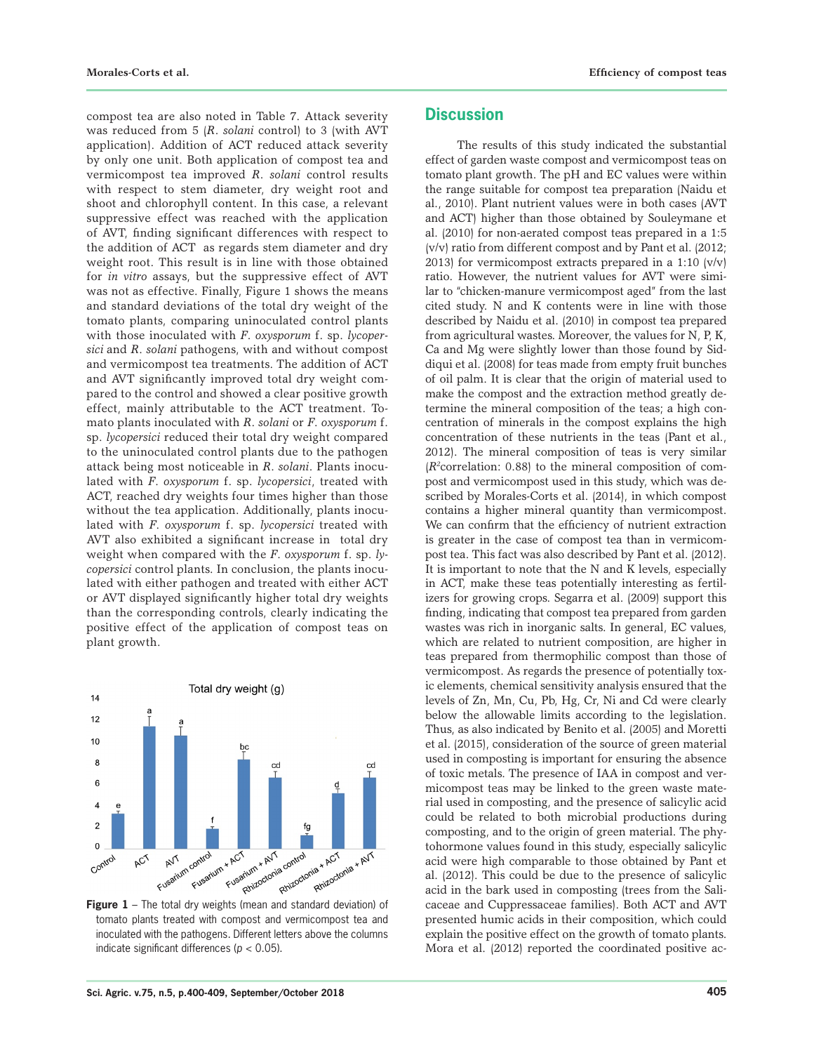compost tea are also noted in Table 7. Attack severity was reduced from 5 (*R*. *solani* control) to 3 (with AVT application). Addition of ACT reduced attack severity by only one unit. Both application of compost tea and vermicompost tea improved *R*. *solani* control results with respect to stem diameter, dry weight root and shoot and chlorophyll content. In this case, a relevant suppressive effect was reached with the application of AVT, finding significant differences with respect to the addition of ACT as regards stem diameter and dry weight root. This result is in line with those obtained for *in vitro* assays, but the suppressive effect of AVT was not as effective. Finally, Figure 1 shows the means and standard deviations of the total dry weight of the tomato plants, comparing uninoculated control plants with those inoculated with *F*. *oxysporum* f. sp. *lycopersici* and *R*. *solani* pathogens, with and without compost and vermicompost tea treatments. The addition of ACT and AVT significantly improved total dry weight compared to the control and showed a clear positive growth effect, mainly attributable to the ACT treatment. Tomato plants inoculated with *R*. *solani* or *F*. *oxysporum* f. sp. *lycopersici* reduced their total dry weight compared to the uninoculated control plants due to the pathogen attack being most noticeable in *R*. *solani*. Plants inoculated with *F*. *oxysporum* f. sp. *lycopersici*, treated with ACT, reached dry weights four times higher than those without the tea application. Additionally, plants inoculated with *F*. *oxysporum* f. sp. *lycopersici* treated with AVT also exhibited a significant increase in total dry weight when compared with the *F*. *oxysporum* f. sp. *lycopersici* control plants. In conclusion, the plants inoculated with either pathogen and treated with either ACT or AVT displayed significantly higher total dry weights than the corresponding controls, clearly indicating the positive effect of the application of compost teas on plant growth.



tomato plants treated with compost and vermicompost tea and inoculated with the pathogens. Different letters above the columns indicate significant differences (*p* < 0.05).

# **Discussion**

The results of this study indicated the substantial effect of garden waste compost and vermicompost teas on tomato plant growth. The pH and EC values were within the range suitable for compost tea preparation (Naidu et al., 2010). Plant nutrient values were in both cases (AVT and ACT) higher than those obtained by Souleymane et al. (2010) for non-aerated compost teas prepared in a 1:5 (v/v) ratio from different compost and by Pant et al. (2012; 2013) for vermicompost extracts prepared in a 1:10 (v/v) ratio. However, the nutrient values for AVT were similar to "chicken-manure vermicompost aged" from the last cited study. N and K contents were in line with those described by Naidu et al. (2010) in compost tea prepared from agricultural wastes. Moreover, the values for  $N$ ,  $P$ ,  $K$ , Ca and Mg were slightly lower than those found by Siddiqui et al. (2008) for teas made from empty fruit bunches of oil palm. It is clear that the origin of material used to make the compost and the extraction method greatly determine the mineral composition of the teas; a high concentration of minerals in the compost explains the high concentration of these nutrients in the teas (Pant et al., 2012). The mineral composition of teas is very similar (*R2* correlation: 0.88) to the mineral composition of compost and vermicompost used in this study, which was described by Morales-Corts et al. (2014), in which compost contains a higher mineral quantity than vermicompost. We can confirm that the efficiency of nutrient extraction is greater in the case of compost tea than in vermicompost tea. This fact was also described by Pant et al. (2012). It is important to note that the N and K levels, especially in ACT, make these teas potentially interesting as fertilizers for growing crops. Segarra et al. (2009) support this finding, indicating that compost tea prepared from garden wastes was rich in inorganic salts. In general, EC values, which are related to nutrient composition, are higher in teas prepared from thermophilic compost than those of vermicompost. As regards the presence of potentially toxic elements, chemical sensitivity analysis ensured that the levels of Zn, Mn, Cu, Pb, Hg, Cr, Ni and Cd were clearly below the allowable limits according to the legislation. Thus, as also indicated by Benito et al. (2005) and Moretti et al. (2015), consideration of the source of green material used in composting is important for ensuring the absence of toxic metals. The presence of IAA in compost and vermicompost teas may be linked to the green waste material used in composting, and the presence of salicylic acid could be related to both microbial productions during composting, and to the origin of green material. The phytohormone values found in this study, especially salicylic acid were high comparable to those obtained by Pant et al. (2012). This could be due to the presence of salicylic acid in the bark used in composting (trees from the Salicaceae and Cuppressaceae families). Both ACT and AVT presented humic acids in their composition, which could explain the positive effect on the growth of tomato plants. Mora et al. (2012) reported the coordinated positive ac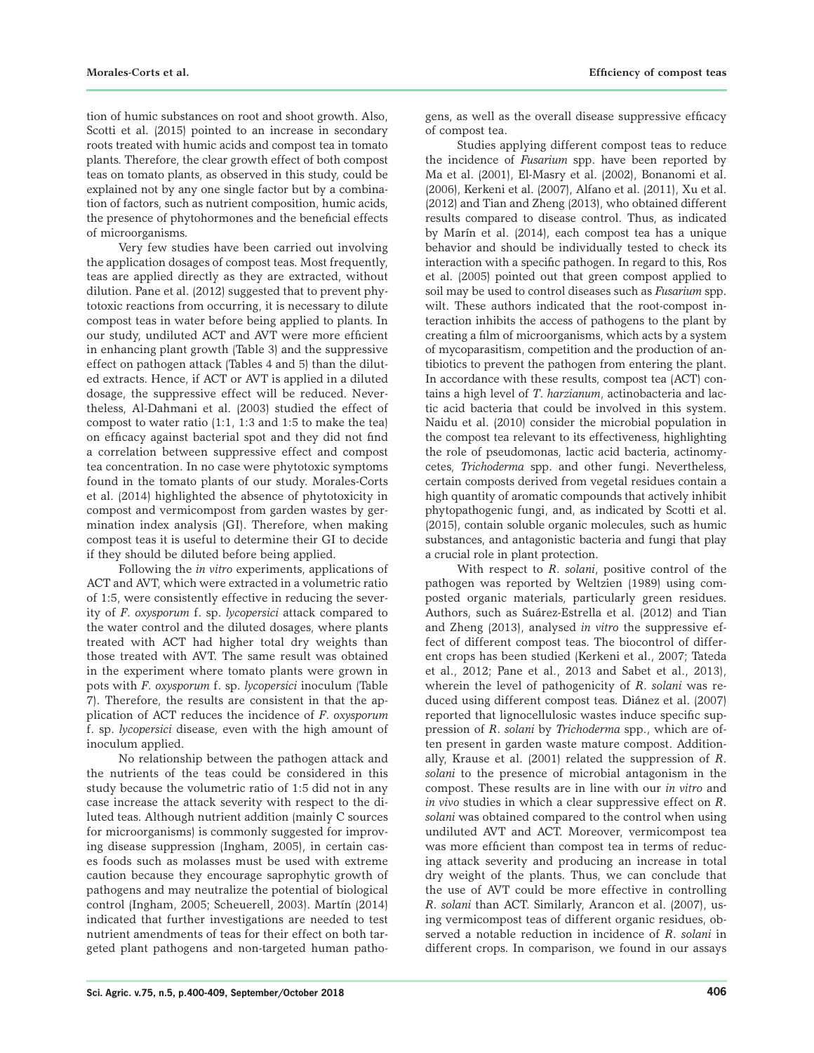tion of humic substances on root and shoot growth. Also, Scotti et al. (2015) pointed to an increase in secondary roots treated with humic acids and compost tea in tomato plants. Therefore, the clear growth effect of both compost teas on tomato plants, as observed in this study, could be explained not by any one single factor but by a combination of factors, such as nutrient composition, humic acids, the presence of phytohormones and the beneficial effects of microorganisms.

Very few studies have been carried out involving the application dosages of compost teas. Most frequently, teas are applied directly as they are extracted, without dilution. Pane et al. (2012) suggested that to prevent phytotoxic reactions from occurring, it is necessary to dilute compost teas in water before being applied to plants. In our study, undiluted ACT and AVT were more efficient in enhancing plant growth (Table 3) and the suppressive effect on pathogen attack (Tables 4 and 5) than the diluted extracts. Hence, if ACT or AVT is applied in a diluted dosage, the suppressive effect will be reduced. Nevertheless, Al-Dahmani et al. (2003) studied the effect of compost to water ratio (1:1, 1:3 and 1:5 to make the tea) on efficacy against bacterial spot and they did not find a correlation between suppressive effect and compost tea concentration. In no case were phytotoxic symptoms found in the tomato plants of our study. Morales-Corts et al. (2014) highlighted the absence of phytotoxicity in compost and vermicompost from garden wastes by germination index analysis (GI). Therefore, when making compost teas it is useful to determine their GI to decide if they should be diluted before being applied.

Following the *in vitro* experiments, applications of ACT and AVT, which were extracted in a volumetric ratio of 1:5, were consistently effective in reducing the severity of *F*. *oxysporum* f. sp. *lycopersici* attack compared to the water control and the diluted dosages, where plants treated with ACT had higher total dry weights than those treated with AVT. The same result was obtained in the experiment where tomato plants were grown in pots with *F*. *oxysporum* f. sp. *lycopersici* inoculum (Table 7). Therefore, the results are consistent in that the application of ACT reduces the incidence of *F*. *oxysporum*  f. sp. *lycopersici* disease, even with the high amount of inoculum applied.

No relationship between the pathogen attack and the nutrients of the teas could be considered in this study because the volumetric ratio of 1:5 did not in any case increase the attack severity with respect to the diluted teas. Although nutrient addition (mainly C sources for microorganisms) is commonly suggested for improving disease suppression (Ingham, 2005), in certain cases foods such as molasses must be used with extreme caution because they encourage saprophytic growth of pathogens and may neutralize the potential of biological control (Ingham, 2005; Scheuerell, 2003). Martín (2014) indicated that further investigations are needed to test nutrient amendments of teas for their effect on both targeted plant pathogens and non-targeted human pathogens, as well as the overall disease suppressive efficacy of compost tea.

Studies applying different compost teas to reduce the incidence of *Fusarium* spp. have been reported by Ma et al. (2001), El-Masry et al. (2002), Bonanomi et al. (2006), Kerkeni et al. (2007), Alfano et al. (2011), Xu et al. (2012) and Tian and Zheng (2013), who obtained different results compared to disease control. Thus, as indicated by Marín et al. (2014), each compost tea has a unique behavior and should be individually tested to check its interaction with a specific pathogen. In regard to this, Ros et al. (2005) pointed out that green compost applied to soil may be used to control diseases such as *Fusarium* spp. wilt. These authors indicated that the root-compost interaction inhibits the access of pathogens to the plant by creating a film of microorganisms, which acts by a system of mycoparasitism, competition and the production of antibiotics to prevent the pathogen from entering the plant. In accordance with these results, compost tea (ACT) contains a high level of *T*. *harzianum*, actinobacteria and lactic acid bacteria that could be involved in this system. Naidu et al. (2010) consider the microbial population in the compost tea relevant to its effectiveness, highlighting the role of pseudomonas, lactic acid bacteria, actinomycetes, *Trichoderma* spp. and other fungi. Nevertheless, certain composts derived from vegetal residues contain a high quantity of aromatic compounds that actively inhibit phytopathogenic fungi, and, as indicated by Scotti et al. (2015), contain soluble organic molecules, such as humic substances, and antagonistic bacteria and fungi that play a crucial role in plant protection.

With respect to *R*. *solani*, positive control of the pathogen was reported by Weltzien (1989) using composted organic materials, particularly green residues. Authors, such as Suárez-Estrella et al. (2012) and Tian and Zheng (2013), analysed *in vitro* the suppressive effect of different compost teas. The biocontrol of different crops has been studied (Kerkeni et al., 2007; Tateda et al., 2012; Pane et al., 2013 and Sabet et al., 2013), wherein the level of pathogenicity of *R*. *solani* was reduced using different compost teas. Diánez et al. (2007) reported that lignocellulosic wastes induce specific suppression of *R*. *solani* by *Trichoderma* spp., which are often present in garden waste mature compost. Additionally, Krause et al. (2001) related the suppression of *R*. *solani* to the presence of microbial antagonism in the compost. These results are in line with our *in vitro* and *in vivo* studies in which a clear suppressive effect on *R*. *solani* was obtained compared to the control when using undiluted AVT and ACT. Moreover, vermicompost tea was more efficient than compost tea in terms of reducing attack severity and producing an increase in total dry weight of the plants. Thus, we can conclude that the use of AVT could be more effective in controlling *R*. *solani* than ACT. Similarly, Arancon et al. (2007), using vermicompost teas of different organic residues, observed a notable reduction in incidence of *R*. *solani* in different crops. In comparison, we found in our assays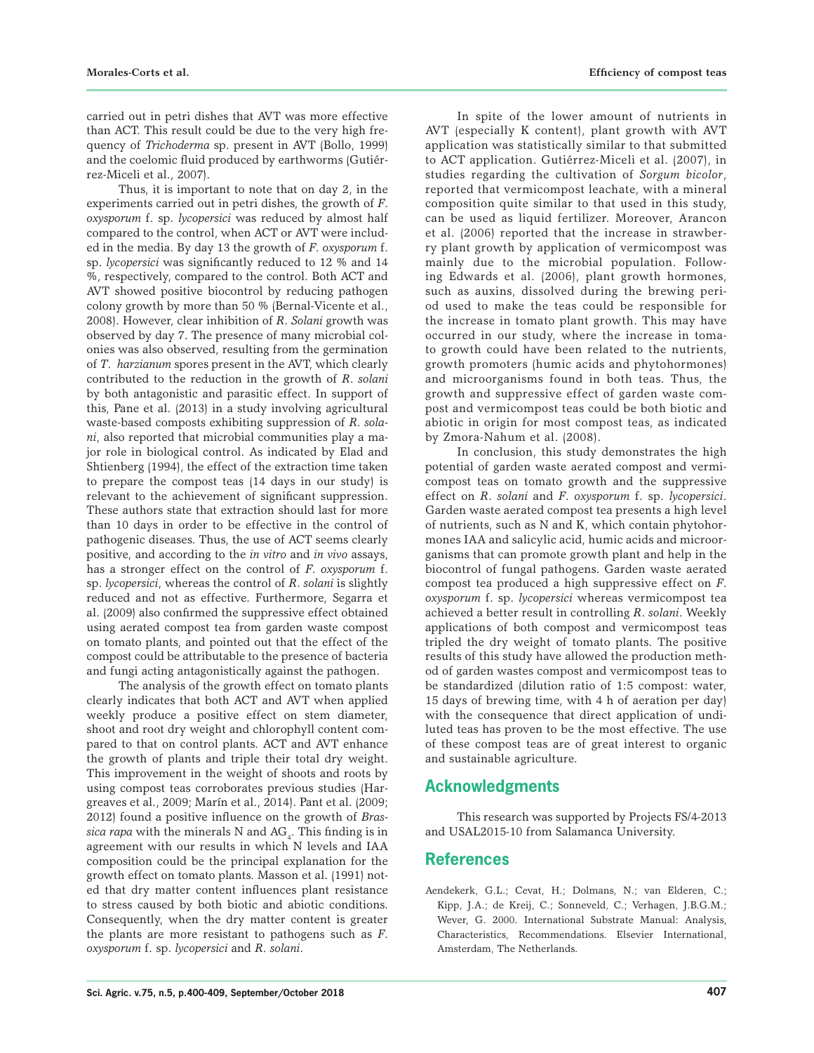carried out in petri dishes that AVT was more effective than ACT. This result could be due to the very high frequency of *Trichoderma* sp. present in AVT (Bollo, 1999) and the coelomic fluid produced by earthworms (Gutiérrez-Miceli et al., 2007).

Thus, it is important to note that on day 2, in the experiments carried out in petri dishes, the growth of *F*. *oxysporum* f. sp. *lycopersici* was reduced by almost half compared to the control, when ACT or AVT were included in the media. By day 13 the growth of *F*. *oxysporum* f. sp. *lycopersici* was significantly reduced to 12 % and 14 %, respectively, compared to the control. Both ACT and AVT showed positive biocontrol by reducing pathogen colony growth by more than 50 % (Bernal-Vicente et al., 2008). However, clear inhibition of *R*. *Solani* growth was observed by day 7. The presence of many microbial colonies was also observed, resulting from the germination of *T*. *harzianum* spores present in the AVT, which clearly contributed to the reduction in the growth of *R*. *solani* by both antagonistic and parasitic effect. In support of this, Pane et al. (2013) in a study involving agricultural waste-based composts exhibiting suppression of *R*. *solani*, also reported that microbial communities play a major role in biological control. As indicated by Elad and Shtienberg (1994), the effect of the extraction time taken to prepare the compost teas (14 days in our study) is relevant to the achievement of significant suppression. These authors state that extraction should last for more than 10 days in order to be effective in the control of pathogenic diseases. Thus, the use of ACT seems clearly positive, and according to the *in vitro* and *in vivo* assays, has a stronger effect on the control of *F*. *oxysporum* f. sp. *lycopersici*, whereas the control of *R*. *solani* is slightly reduced and not as effective. Furthermore, Segarra et al. (2009) also confirmed the suppressive effect obtained using aerated compost tea from garden waste compost on tomato plants, and pointed out that the effect of the compost could be attributable to the presence of bacteria and fungi acting antagonistically against the pathogen.

The analysis of the growth effect on tomato plants clearly indicates that both ACT and AVT when applied weekly produce a positive effect on stem diameter, shoot and root dry weight and chlorophyll content compared to that on control plants. ACT and AVT enhance the growth of plants and triple their total dry weight. This improvement in the weight of shoots and roots by using compost teas corroborates previous studies (Hargreaves et al., 2009; Marín et al., 2014). Pant et al. (2009; 2012) found a positive influence on the growth of *Bras* $sica$  *rapa* with the minerals N and  $AG_{4}$ . This finding is in agreement with our results in which N levels and IAA composition could be the principal explanation for the growth effect on tomato plants. Masson et al. (1991) noted that dry matter content influences plant resistance to stress caused by both biotic and abiotic conditions. Consequently, when the dry matter content is greater the plants are more resistant to pathogens such as *F*. *oxysporum* f. sp. *lycopersici* and *R*. *solani*.

In spite of the lower amount of nutrients in AVT (especially K content), plant growth with AVT application was statistically similar to that submitted to ACT application. Gutiérrez-Miceli et al. (2007), in studies regarding the cultivation of *Sorgum bicolor*, reported that vermicompost leachate, with a mineral composition quite similar to that used in this study, can be used as liquid fertilizer. Moreover, Arancon et al. (2006) reported that the increase in strawberry plant growth by application of vermicompost was mainly due to the microbial population. Following Edwards et al. (2006), plant growth hormones, such as auxins, dissolved during the brewing period used to make the teas could be responsible for the increase in tomato plant growth. This may have occurred in our study, where the increase in tomato growth could have been related to the nutrients, growth promoters (humic acids and phytohormones) and microorganisms found in both teas. Thus, the growth and suppressive effect of garden waste compost and vermicompost teas could be both biotic and abiotic in origin for most compost teas, as indicated by Zmora-Nahum et al. (2008).

In conclusion, this study demonstrates the high potential of garden waste aerated compost and vermicompost teas on tomato growth and the suppressive effect on *R*. *solani* and *F*. *oxysporum* f. sp. *lycopersici*. Garden waste aerated compost tea presents a high level of nutrients, such as N and K, which contain phytohormones IAA and salicylic acid, humic acids and microorganisms that can promote growth plant and help in the biocontrol of fungal pathogens. Garden waste aerated compost tea produced a high suppressive effect on *F*. *oxysporum* f. sp. *lycopersici* whereas vermicompost tea achieved a better result in controlling *R*. *solani*. Weekly applications of both compost and vermicompost teas tripled the dry weight of tomato plants. The positive results of this study have allowed the production method of garden wastes compost and vermicompost teas to be standardized (dilution ratio of 1:5 compost: water, 15 days of brewing time, with 4 h of aeration per day) with the consequence that direct application of undiluted teas has proven to be the most effective. The use of these compost teas are of great interest to organic and sustainable agriculture.

# **Acknowledgments**

This research was supported by Projects FS/4-2013 and USAL2015-10 from Salamanca University.

# **References**

Aendekerk, G.L.; Cevat, H.; Dolmans, N.; van Elderen, C.; Kipp, J.A.; de Kreij, C.; Sonneveld, C.; Verhagen, J.B.G.M.; Wever, G. 2000. International Substrate Manual: Analysis, Characteristics, Recommendations. Elsevier International, Amsterdam, The Netherlands.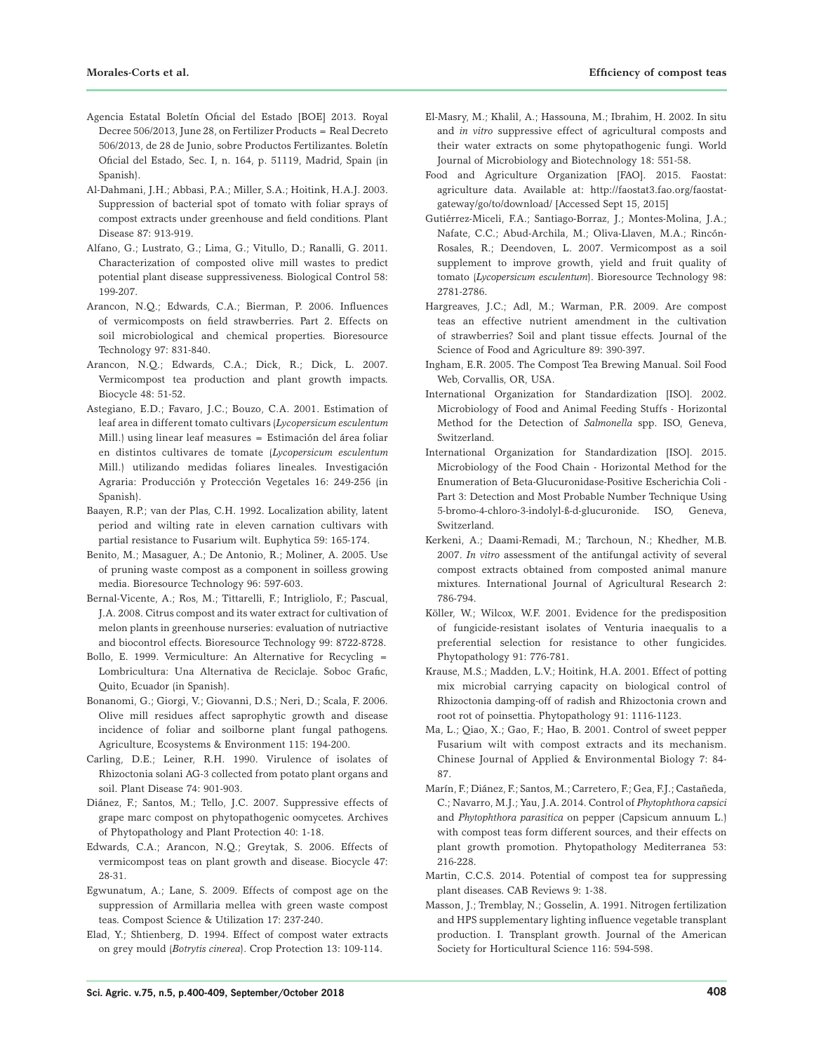- Agencia Estatal Boletín Oficial del Estado [BOE] 2013. Royal Decree 506/2013, June 28, on Fertilizer Products = Real Decreto 506/2013, de 28 de Junio, sobre Productos Fertilizantes. Boletín Oficial del Estado, Sec. I, n. 164, p. 51119, Madrid, Spain (in Spanish).
- Al-Dahmani, J.H.; Abbasi, P.A.; Miller, S.A.; Hoitink, H.A.J. 2003. Suppression of bacterial spot of tomato with foliar sprays of compost extracts under greenhouse and field conditions. Plant Disease 87: 913-919.
- Alfano, G.; Lustrato, G.; Lima, G.; Vitullo, D.; Ranalli, G. 2011. Characterization of composted olive mill wastes to predict potential plant disease suppressiveness. Biological Control 58: 199-207.
- Arancon, N.Q.; Edwards, C.A.; Bierman, P. 2006. Influences of vermicomposts on field strawberries. Part 2. Effects on soil microbiological and chemical properties. Bioresource Technology 97: 831-840.
- Arancon, N.Q.; Edwards, C.A.; Dick, R.; Dick, L. 2007. Vermicompost tea production and plant growth impacts. Biocycle 48: 51-52.
- Astegiano, E.D.; Favaro, J.C.; Bouzo, C.A. 2001. Estimation of leaf area in different tomato cultivars (*Lycopersicum esculentum* Mill.) using linear leaf measures = Estimación del área foliar en distintos cultivares de tomate (*Lycopersicum esculentum* Mill.) utilizando medidas foliares lineales. Investigación Agraria: Producción y Protección Vegetales 16: 249-256 (in Spanish).
- Baayen, R.P.; van der Plas, C.H. 1992. Localization ability, latent period and wilting rate in eleven carnation cultivars with partial resistance to Fusarium wilt. Euphytica 59: 165-174.
- Benito, M.; Masaguer, A.; De Antonio, R.; Moliner, A. 2005. Use of pruning waste compost as a component in soilless growing media. Bioresource Technology 96: 597-603.
- Bernal-Vicente, A.; Ros, M.; Tittarelli, F.; Intrigliolo, F.; Pascual, J.A. 2008. Citrus compost and its water extract for cultivation of melon plants in greenhouse nurseries: evaluation of nutriactive and biocontrol effects. Bioresource Technology 99: 8722-8728.
- Bollo, E. 1999. Vermiculture: An Alternative for Recycling = Lombricultura: Una Alternativa de Reciclaje. Soboc Grafic, Quito, Ecuador (in Spanish).
- Bonanomi, G.; Giorgi, V.; Giovanni, D.S.; Neri, D.; Scala, F. 2006. Olive mill residues affect saprophytic growth and disease incidence of foliar and soilborne plant fungal pathogens. Agriculture, Ecosystems & Environment 115: 194-200.
- Carling, D.E.; Leiner, R.H. 1990. Virulence of isolates of Rhizoctonia solani AG-3 collected from potato plant organs and soil. Plant Disease 74: 901-903.
- Diánez, F.; Santos, M.; Tello, J.C. 2007. Suppressive effects of grape marc compost on phytopathogenic oomycetes. Archives of Phytopathology and Plant Protection 40: 1-18.
- Edwards, C.A.; Arancon, N.Q.; Greytak, S. 2006. Effects of vermicompost teas on plant growth and disease. Biocycle 47: 28-31.
- Egwunatum, A.; Lane, S. 2009. Effects of compost age on the suppression of Armillaria mellea with green waste compost teas. Compost Science & Utilization 17: 237-240.
- Elad, Y.; Shtienberg, D. 1994. Effect of compost water extracts on grey mould (*Botrytis cinerea*). Crop Protection 13: 109-114.
- El-Masry, M.; Khalil, A.; Hassouna, M.; Ibrahim, H. 2002. In situ and *in vitro* suppressive effect of agricultural composts and their water extracts on some phytopathogenic fungi. World Journal of Microbiology and Biotechnology 18: 551-58.
- Food and Agriculture Organization [FAO]. 2015. Faostat: agriculture data. Available at: http://faostat3.fao.org/faostatgateway/go/to/download/ [Accessed Sept 15, 2015]
- Gutiérrez-Miceli, F.A.; Santiago-Borraz, J.; Montes-Molina, J.A.; Nafate, C.C.; Abud-Archila, M.; Oliva-Llaven, M.A.; Rincón-Rosales, R.; Deendoven, L. 2007. Vermicompost as a soil supplement to improve growth, yield and fruit quality of tomato (*Lycopersicum esculentum*). Bioresource Technology 98: 2781-2786.
- Hargreaves, J.C.; Adl, M.; Warman, P.R. 2009. Are compost teas an effective nutrient amendment in the cultivation of strawberries? Soil and plant tissue effects. Journal of the Science of Food and Agriculture 89: 390-397.
- Ingham, E.R. 2005. The Compost Tea Brewing Manual. Soil Food Web, Corvallis, OR, USA.
- International Organization for Standardization [ISO]. 2002. Microbiology of Food and Animal Feeding Stuffs - Horizontal Method for the Detection of *Salmonella* spp. ISO, Geneva, Switzerland.
- International Organization for Standardization [ISO]. 2015. Microbiology of the Food Chain - Horizontal Method for the Enumeration of Beta-Glucuronidase-Positive Escherichia Coli - Part 3: Detection and Most Probable Number Technique Using 5-bromo-4-chloro-3-indolyl-ß-d-glucuronide. ISO, Geneva, Switzerland.
- Kerkeni, A.; Daami-Remadi, M.; Tarchoun, N.; Khedher, M.B. 2007. *In vitro* assessment of the antifungal activity of several compost extracts obtained from composted animal manure mixtures. International Journal of Agricultural Research 2: 786-794.
- Köller, W.; Wilcox, W.F. 2001. Evidence for the predisposition of fungicide-resistant isolates of Venturia inaequalis to a preferential selection for resistance to other fungicides. Phytopathology 91: 776-781.
- Krause, M.S.; Madden, L.V.; Hoitink, H.A. 2001. Effect of potting mix microbial carrying capacity on biological control of Rhizoctonia damping-off of radish and Rhizoctonia crown and root rot of poinsettia. Phytopathology 91: 1116-1123.
- Ma, L.; Qiao, X.; Gao, F.; Hao, B. 2001. Control of sweet pepper Fusarium wilt with compost extracts and its mechanism. Chinese Journal of Applied & Environmental Biology 7: 84- 87.
- Marín, F.; Diánez, F.; Santos, M.; Carretero, F.; Gea, F.J.; Castañeda, C.; Navarro, M.J.; Yau, J.A. 2014. Control of *Phytophthora capsici*  and *Phytophthora parasitica* on pepper (Capsicum annuum L.) with compost teas form different sources, and their effects on plant growth promotion. Phytopathology Mediterranea 53: 216-228.
- Martin, C.C.S. 2014. Potential of compost tea for suppressing plant diseases. CAB Reviews 9: 1-38.
- Masson, J.; Tremblay, N.; Gosselin, A. 1991. Nitrogen fertilization and HPS supplementary lighting influence vegetable transplant production. I. Transplant growth. Journal of the American Society for Horticultural Science 116: 594-598.